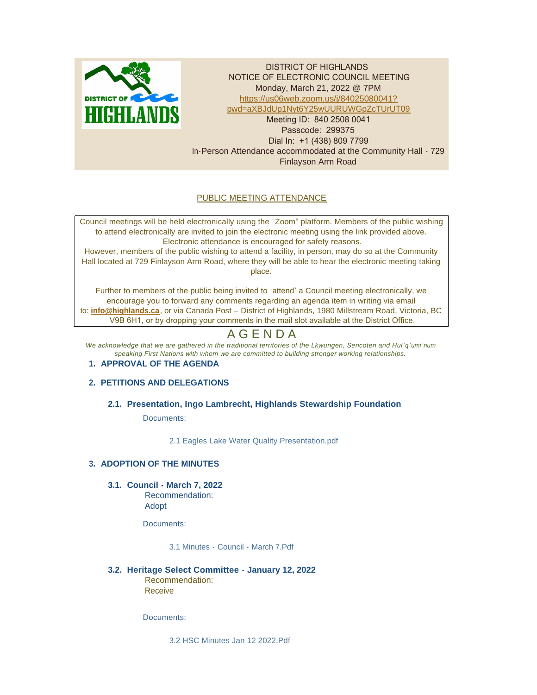

DISTRICT OF HIGHLANDS NOTICE OF ELECTRONIC COUNCIL MEETING Monday, March 21, 2022 @ 7PM https://us06web.zoom.us/j/84025080041? pw[d=aXBJdUp1Nyt6Y25wUURUWGpZcTUrUT09](https://us06web.zoom.us/j/84025080041?pwd=aXBJdUp1Nyt6Y25wUURUWGpZcTUrUT09) Meeting ID: 840 2508 0041 Passcode: 299375 Dial In: +1 (438) 809 7799 In-Person Attendance accommodated at the Community Hall - 729 Finlayson Arm Road

# PUBLIC MEETING ATTENDANCE

Council meetings will be held electronically using the "Zoom" platform. Members of the public wishing to attend electronically are invited to join the electronic meeting using the link provided above. Electronic attendance is encouraged for safety reasons.

However, members of the public wishing to attend a facility, in person, may do so at the Community Hall located at 729 Finlayson Arm Road, where they will be able to hear the electronic meeting taking place.

Further to members of the public being invited to 'attend' a Council meeting electronically, we encourage you to forward any comments regarding an agenda item in writing via email to: **[info@highlands.ca](mailto:info@highlands.ca)**, or via Canada Post – District of Highlands, 1980 Millstream Road, Victoria, BC V9B 6H1, or by dropping your comments in the mail slot available at the District Office.

# A G E N D A

*We acknowledge that we are gathered in the traditional territories of the Lkwungen, Sencoten and Hul 'q'umi'num speaking First Nations with whom we are committed to building stronger working relationships.*

# **APPROVAL OF THE AGENDA 1.**

# **PETITIONS AND DELEGATIONS 2.**

# **Presentation, Ingo Lambrecht, Highlands Stewardship Foundation 2.1.**

Documents:

[2.1 Eagles Lake Water Quality Presentation.pdf](https://www.highlands.ca/AgendaCenter/ViewFile/Item/7003?fileID=6674)

# **ADOPTION OF THE MINUTES 3.**

**Council - March 7, 2022 3.1.**

Recommendation: Adopt

Documents:

[3.1 Minutes - Council - March 7.Pdf](https://www.highlands.ca/AgendaCenter/ViewFile/Item/7004?fileID=6675)

**Heritage Select Committee - January 12, 2022 3.2.** Recommendation: Receive

Documents:

[3.2 HSC Minutes Jan 12 2022.Pdf](https://www.highlands.ca/AgendaCenter/ViewFile/Item/7005?fileID=6676)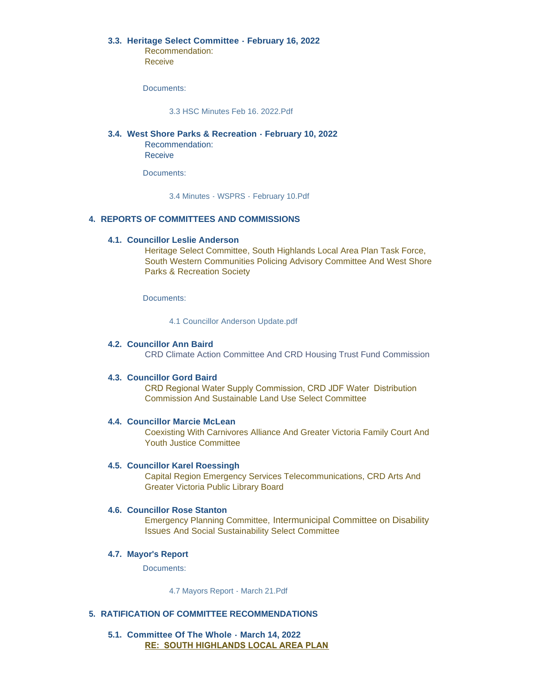# **Heritage Select Committee - February 16, 2022 3.3.**

Recommendation: Receive

Documents:

[3.3 HSC Minutes Feb 16. 2022.Pdf](https://www.highlands.ca/AgendaCenter/ViewFile/Item/7010?fileID=6677)

# **West Shore Parks & Recreation - February 10, 2022 3.4.**

Recommendation: Receive

Documents:

[3.4 Minutes - WSPRS - February 10.Pdf](https://www.highlands.ca/AgendaCenter/ViewFile/Item/7007?fileID=6678)

# **REPORTS OF COMMITTEES AND COMMISSIONS 4.**

### **Councillor Leslie Anderson 4.1.**

Heritage Select Committee, South Highlands Local Area Plan Task Force, South Western Communities Policing Advisory Committee And West Shore Parks & Recreation Society

Documents:

[4.1 Councillor Anderson Update.pdf](https://www.highlands.ca/AgendaCenter/ViewFile/Item/7019?fileID=6681)

# **Councillor Ann Baird 4.2.**

CRD Climate Action Committee And CRD Housing Trust Fund Commission

### **Councillor Gord Baird 4.3.**

CRD Regional Water Supply Commission, CRD JDF Water Distribution Commission And Sustainable Land Use Select Committee

### **Councillor Marcie McLean 4.4.**

Coexisting With Carnivores Alliance And Greater Victoria Family Court And Youth Justice Committee

### **Councillor Karel Roessingh 4.5.**

Capital Region Emergency Services Telecommunications, CRD Arts And Greater Victoria Public Library Board

# **4.6. Councillor Rose Stanton**

Emergency Planning Committee, Intermunicipal Committee on Disability Issues And Social Sustainability Select Committee

#### **Mayor's Report 4.7.**

Documents:

[4.7 Mayors Report -](https://www.highlands.ca/AgendaCenter/ViewFile/Item/7008?fileID=6682) March 21.Pdf

### **RATIFICATION OF COMMITTEE RECOMMENDATIONS 5.**

**Committee Of The Whole - March 14, 2022 5.1. RE: SOUTH HIGHLANDS LOCAL AREA PLAN**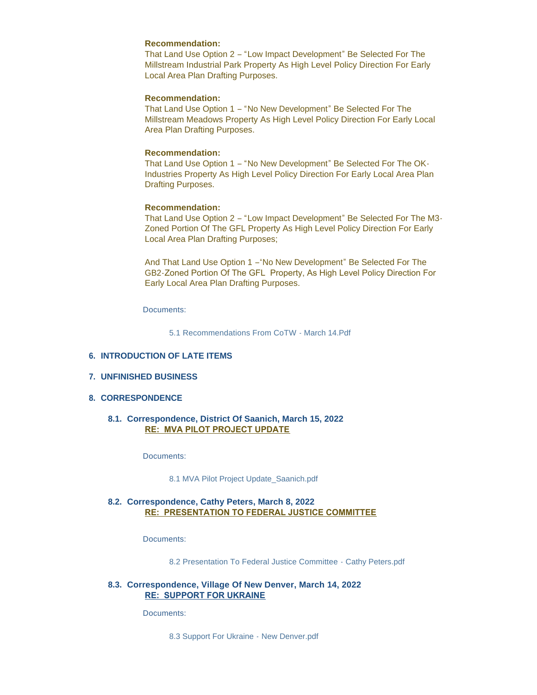### **Recommendation:**

That Land Use Option 2 – "Low Impact Development" Be Selected For The Millstream Industrial Park Property As High Level Policy Direction For Early Local Area Plan Drafting Purposes.

# **Recommendation:**

That Land Use Option 1 – "No New Development" Be Selected For The Millstream Meadows Property As High Level Policy Direction For Early Local Area Plan Drafting Purposes.

#### **Recommendation:**

That Land Use Option 1 – "No New Development" Be Selected For The OK-Industries Property As High Level Policy Direction For Early Local Area Plan Drafting Purposes.

# **Recommendation:**

That Land Use Option 2 – "Low Impact Development" Be Selected For The M3- Zoned Portion Of The GFL Property As High Level Policy Direction For Early Local Area Plan Drafting Purposes;

And That Land Use Option 1 –"No New Development" Be Selected For The GB2-Zoned Portion Of The GFL Property, As High Level Policy Direction For Early Local Area Plan Drafting Purposes.

Documents:

[5.1 Recommendations From CoTW -](https://www.highlands.ca/AgendaCenter/ViewFile/Item/7009?fileID=6683) March 14.Pdf

#### **INTRODUCTION OF LATE ITEMS 6.**

#### **UNFINISHED BUSINESS 7.**

# **CORRESPONDENCE 8.**

# **Correspondence, District Of Saanich, March 15, 2022 8.1. RE: MVA PILOT PROJECT UPDATE**

Documents:

#### [8.1 MVA Pilot Project Update\\_Saanich.pdf](https://www.highlands.ca/AgendaCenter/ViewFile/Item/7011?fileID=6684)

# **Correspondence, Cathy Peters, March 8, 2022 8.2. RE: PRESENTATION TO FEDERAL JUSTICE COMMITTEE**

Documents:

[8.2 Presentation To Federal Justice Committee - Cathy Peters.pdf](https://www.highlands.ca/AgendaCenter/ViewFile/Item/7012?fileID=6685)

### **Correspondence, Village Of New Denver, March 14, 2022 8.3. RE: SUPPORT FOR UKRAINE**

Documents:

[8.3 Support For Ukraine - New Denver.pdf](https://www.highlands.ca/AgendaCenter/ViewFile/Item/7013?fileID=6686)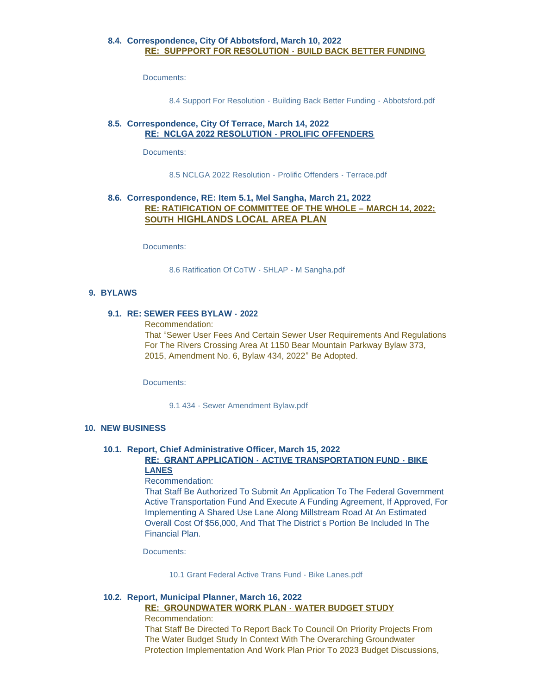# **Correspondence, City Of Abbotsford, March 10, 2022 8.4. RE: SUPPPORT FOR RESOLUTION - BUILD BACK BETTER FUNDING**

Documents:

[8.4 Support For Resolution - Building Back Better Funding - Abbotsford.pdf](https://www.highlands.ca/AgendaCenter/ViewFile/Item/7014?fileID=6687)

# **Correspondence, City Of Terrace, March 14, 2022 8.5. RE: NCLGA 2022 RESOLUTION - PROLIFIC OFFENDERS**

Documents:

[8.5 NCLGA 2022 Resolution - Prolific Offenders - Terrace.pdf](https://www.highlands.ca/AgendaCenter/ViewFile/Item/7015?fileID=6688)

# **Correspondence, RE: Item 5.1, Mel Sangha, March 21, 2022 8.6. RE: RATIFICATION OF COMMITTEE OF THE WHOLE – MARCH 14, 2022; SOUTH HIGHLANDS LOCAL AREA PLAN**

Documents:

[8.6 Ratification Of CoTW -](https://www.highlands.ca/AgendaCenter/ViewFile/Item/7020?fileID=6692) SHLAP - M Sangha.pdf

### **BYLAWS 9.**

#### **RE: SEWER FEES BYLAW - 2022 9.1.**

Recommendation:

That "Sewer User Fees And Certain Sewer User Requirements And Regulations For The Rivers Crossing Area At 1150 Bear Mountain Parkway Bylaw 373, 2015, Amendment No. 6, Bylaw 434, 2022" Be Adopted.

Documents:

9.1 434 - [Sewer Amendment Bylaw.pdf](https://www.highlands.ca/AgendaCenter/ViewFile/Item/7016?fileID=6689)

#### **NEW BUSINESS 10.**

# **Report, Chief Administrative Officer, March 15, 2022 10.1.**

### **RE: GRANT APPLICATION - ACTIVE TRANSPORTATION FUND - BIKE LANES**

#### Recommendation:

That Staff Be Authorized To Submit An Application To The Federal Government Active Transportation Fund And Execute A Funding Agreement, If Approved, For Implementing A Shared Use Lane Along Millstream Road At An Estimated Overall Cost Of \$56,000, And That The District's Portion Be Included In The Financial Plan.

Documents:

[10.1 Grant Federal Active Trans Fund -](https://www.highlands.ca/AgendaCenter/ViewFile/Item/7017?fileID=6690) Bike Lanes.pdf

#### **Report, Municipal Planner, March 16, 2022 10.2.**

# **RE: GROUNDWATER WORK PLAN - WATER BUDGET STUDY** Recommendation:

That Staff Be Directed To Report Back To Council On Priority Projects From The Water Budget Study In Context With The Overarching Groundwater Protection Implementation And Work Plan Prior To 2023 Budget Discussions,